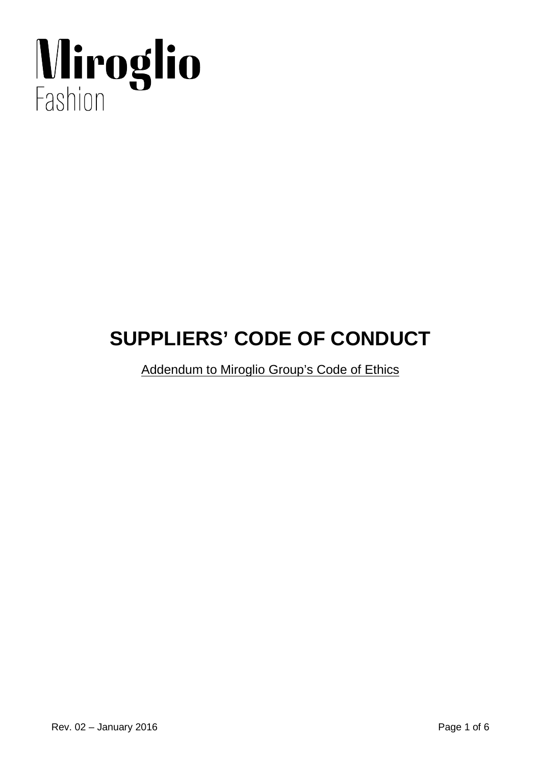# Miroglio

# **SUPPLIERS' CODE OF CONDUCT**

Addendum to Miroglio Group's Code of Ethics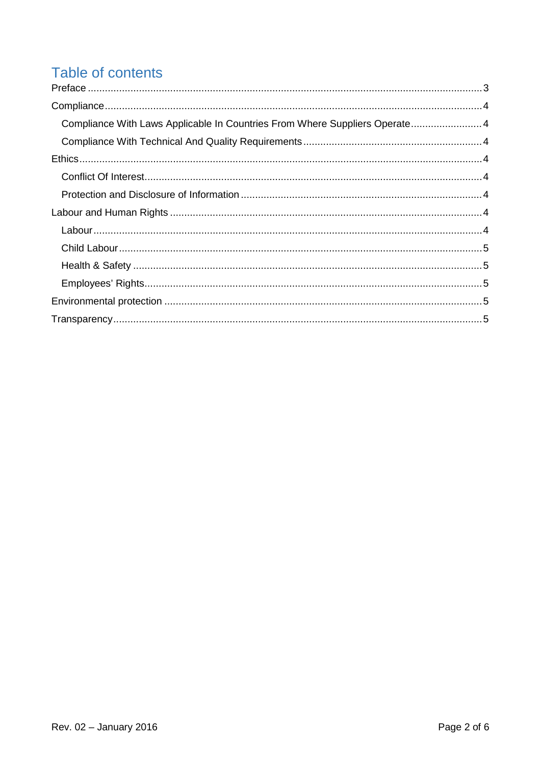# Table of contents

| Compliance With Laws Applicable In Countries From Where Suppliers Operate 4 |
|-----------------------------------------------------------------------------|
|                                                                             |
|                                                                             |
|                                                                             |
|                                                                             |
|                                                                             |
|                                                                             |
|                                                                             |
|                                                                             |
|                                                                             |
|                                                                             |
|                                                                             |
|                                                                             |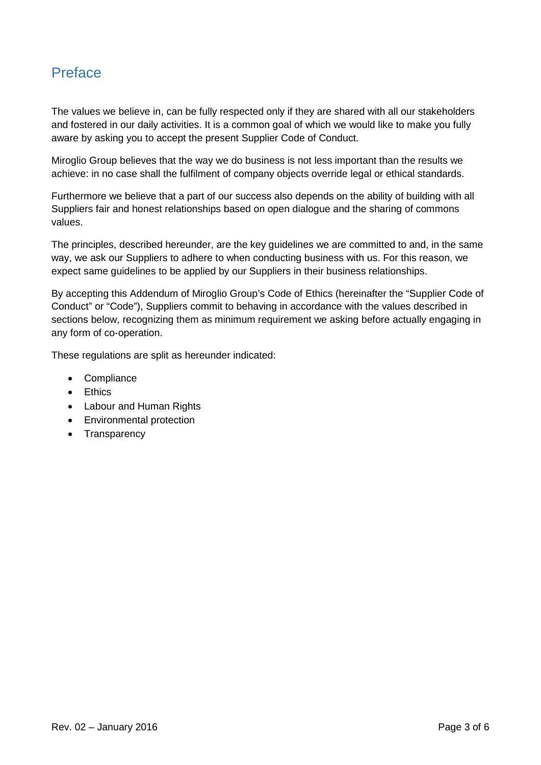# <span id="page-2-0"></span>Preface

The values we believe in, can be fully respected only if they are shared with all our stakeholders and fostered in our daily activities. It is a common goal of which we would like to make you fully aware by asking you to accept the present Supplier Code of Conduct.

Miroglio Group believes that the way we do business is not less important than the results we achieve: in no case shall the fulfilment of company objects override legal or ethical standards.

Furthermore we believe that a part of our success also depends on the ability of building with all Suppliers fair and honest relationships based on open dialogue and the sharing of commons values.

The principles, described hereunder, are the key guidelines we are committed to and, in the same way, we ask our Suppliers to adhere to when conducting business with us. For this reason, we expect same guidelines to be applied by our Suppliers in their business relationships.

By accepting this Addendum of Miroglio Group's Code of Ethics (hereinafter the "Supplier Code of Conduct" or "Code"), Suppliers commit to behaving in accordance with the values described in sections below, recognizing them as minimum requirement we asking before actually engaging in any form of co-operation.

These regulations are split as hereunder indicated:

- Compliance
- Ethics
- Labour and Human Rights
- Environmental protection
- Transparency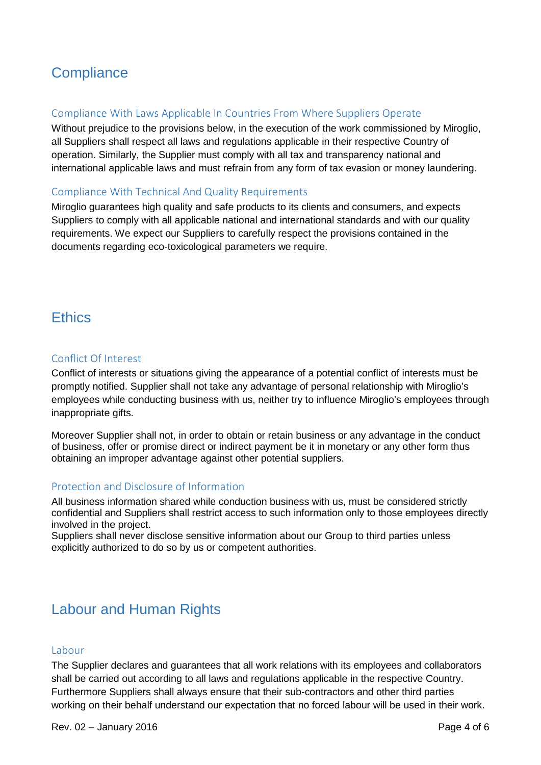# <span id="page-3-0"></span>**Compliance**

### <span id="page-3-1"></span>Compliance With Laws Applicable In Countries From Where Suppliers Operate

Without prejudice to the provisions below, in the execution of the work commissioned by Miroglio, all Suppliers shall respect all laws and regulations applicable in their respective Country of operation. Similarly, the Supplier must comply with all tax and transparency national and international applicable laws and must refrain from any form of tax evasion or money laundering.

### <span id="page-3-2"></span>Compliance With Technical And Quality Requirements

Miroglio guarantees high quality and safe products to its clients and consumers, and expects Suppliers to comply with all applicable national and international standards and with our quality requirements. We expect our Suppliers to carefully respect the provisions contained in the documents regarding eco-toxicological parameters we require.

## <span id="page-3-3"></span>**Ethics**

### <span id="page-3-4"></span>Conflict Of Interest

Conflict of interests or situations giving the appearance of a potential conflict of interests must be promptly notified. Supplier shall not take any advantage of personal relationship with Miroglio's employees while conducting business with us, neither try to influence Miroglio's employees through inappropriate gifts.

Moreover Supplier shall not, in order to obtain or retain business or any advantage in the conduct of business, offer or promise direct or indirect payment be it in monetary or any other form thus obtaining an improper advantage against other potential suppliers.

### <span id="page-3-5"></span>Protection and Disclosure of Information

All business information shared while conduction business with us, must be considered strictly confidential and Suppliers shall restrict access to such information only to those employees directly involved in the project.

Suppliers shall never disclose sensitive information about our Group to third parties unless explicitly authorized to do so by us or competent authorities.

# <span id="page-3-6"></span>Labour and Human Rights

### <span id="page-3-7"></span>Labour

The Supplier declares and guarantees that all work relations with its employees and collaborators shall be carried out according to all laws and regulations applicable in the respective Country. Furthermore Suppliers shall always ensure that their sub-contractors and other third parties working on their behalf understand our expectation that no forced labour will be used in their work.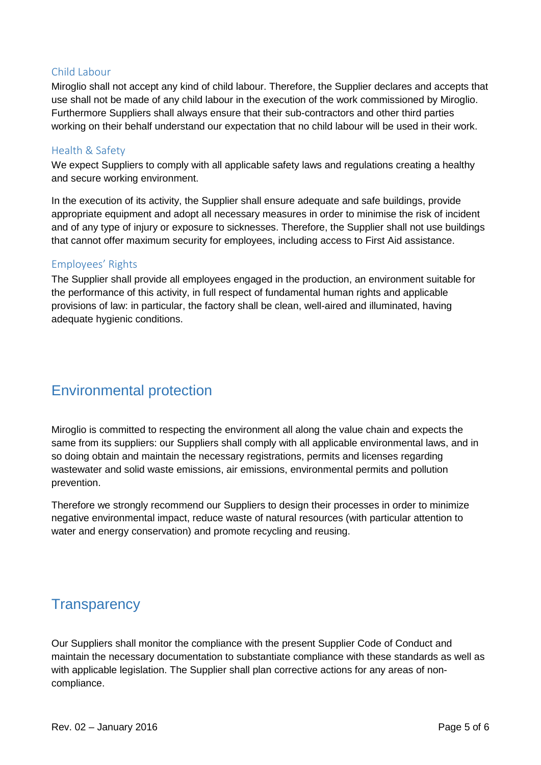### <span id="page-4-0"></span>Child Labour

Miroglio shall not accept any kind of child labour. Therefore, the Supplier declares and accepts that use shall not be made of any child labour in the execution of the work commissioned by Miroglio. Furthermore Suppliers shall always ensure that their sub-contractors and other third parties working on their behalf understand our expectation that no child labour will be used in their work.

### <span id="page-4-1"></span>Health & Safety

We expect Suppliers to comply with all applicable safety laws and regulations creating a healthy and secure working environment.

In the execution of its activity, the Supplier shall ensure adequate and safe buildings, provide appropriate equipment and adopt all necessary measures in order to minimise the risk of incident and of any type of injury or exposure to sicknesses. Therefore, the Supplier shall not use buildings that cannot offer maximum security for employees, including access to First Aid assistance.

### <span id="page-4-2"></span>Employees' Rights

The Supplier shall provide all employees engaged in the production, an environment suitable for the performance of this activity, in full respect of fundamental human rights and applicable provisions of law: in particular, the factory shall be clean, well-aired and illuminated, having adequate hygienic conditions.

# <span id="page-4-3"></span>Environmental protection

Miroglio is committed to respecting the environment all along the value chain and expects the same from its suppliers: our Suppliers shall comply with all applicable environmental laws, and in so doing obtain and maintain the necessary registrations, permits and licenses regarding wastewater and solid waste emissions, air emissions, environmental permits and pollution prevention.

Therefore we strongly recommend our Suppliers to design their processes in order to minimize negative environmental impact, reduce waste of natural resources (with particular attention to water and energy conservation) and promote recycling and reusing.

# <span id="page-4-4"></span>**Transparency**

Our Suppliers shall monitor the compliance with the present Supplier Code of Conduct and maintain the necessary documentation to substantiate compliance with these standards as well as with applicable legislation. The Supplier shall plan corrective actions for any areas of noncompliance.